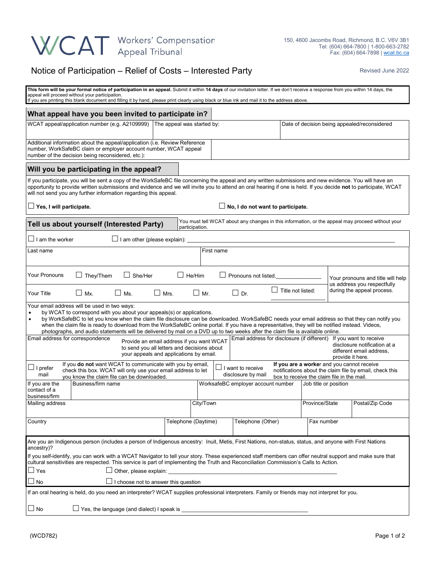## WCAT Workers' Compensation

## Notice of Participation – Relief of Costs – Interested Party **Revised June 2022**

| This form will be your formal notice of participation in an appeal. Submit it within 14 days of our invitation letter. If we don't receive a response from you within 14 days, the<br>appeal will proceed without your participation.<br>If you are printing this blank document and filling it by hand, please print clearly using black or blue ink and mail it to the address above.                                                                                                                                                                                                  |  |  |  |  |  |  |  |  |  |
|------------------------------------------------------------------------------------------------------------------------------------------------------------------------------------------------------------------------------------------------------------------------------------------------------------------------------------------------------------------------------------------------------------------------------------------------------------------------------------------------------------------------------------------------------------------------------------------|--|--|--|--|--|--|--|--|--|
| What appeal have you been invited to participate in?                                                                                                                                                                                                                                                                                                                                                                                                                                                                                                                                     |  |  |  |  |  |  |  |  |  |
| WCAT appeal/application number (e.g. A2109999)<br>The appeal was started by:<br>Date of decision being appealed/reconsidered                                                                                                                                                                                                                                                                                                                                                                                                                                                             |  |  |  |  |  |  |  |  |  |
| Additional information about the appeal/application (i.e. Review Reference<br>number, WorkSafeBC claim or employer account number, WCAT appeal<br>number of the decision being reconsidered, etc.):                                                                                                                                                                                                                                                                                                                                                                                      |  |  |  |  |  |  |  |  |  |
| Will you be participating in the appeal?                                                                                                                                                                                                                                                                                                                                                                                                                                                                                                                                                 |  |  |  |  |  |  |  |  |  |
| If you participate, you will be sent a copy of the WorkSafeBC file concerning the appeal and any written submissions and new evidence. You will have an<br>opportunity to provide written submissions and evidence and we will invite you to attend an oral hearing if one is held. If you decide not to participate, WCAT<br>will not send you any further information regarding this appeal.                                                                                                                                                                                           |  |  |  |  |  |  |  |  |  |
| $\Box$ Yes, I will participate.<br>No, I do not want to participate.                                                                                                                                                                                                                                                                                                                                                                                                                                                                                                                     |  |  |  |  |  |  |  |  |  |
| You must tell WCAT about any changes in this information, or the appeal may proceed without your<br>Tell us about yourself (Interested Party)<br>participation.                                                                                                                                                                                                                                                                                                                                                                                                                          |  |  |  |  |  |  |  |  |  |
| $\Box$ I am the worker<br>$\Box$ I am other (please explain):                                                                                                                                                                                                                                                                                                                                                                                                                                                                                                                            |  |  |  |  |  |  |  |  |  |
| First name<br>Last name                                                                                                                                                                                                                                                                                                                                                                                                                                                                                                                                                                  |  |  |  |  |  |  |  |  |  |
| <b>Your Pronouns</b><br>They/Them<br>She/Her<br>$\Box$ He/Him<br>Pronouns not listed.<br>Your pronouns and title will help<br>us address you respectfully                                                                                                                                                                                                                                                                                                                                                                                                                                |  |  |  |  |  |  |  |  |  |
| during the appeal process.<br>Title not listed:<br>$\Box$ Mr<br>$\Box$ Mx.<br>$\Box$ Mrs.<br>$\Box$ Dr.<br>Your Title<br>$\Box$ Ms.                                                                                                                                                                                                                                                                                                                                                                                                                                                      |  |  |  |  |  |  |  |  |  |
| Your email address will be used in two ways:<br>by WCAT to correspond with you about your appeals(s) or applications.<br>$\bullet$<br>by WorkSafeBC to let you know when the claim file disclosure can be downloaded. WorkSafeBC needs your email address so that they can notify you<br>$\bullet$<br>when the claim file is ready to download from the WorkSafeBC online portal. If you have a representative, they will be notified instead. Videos,<br>photographs, and audio statements will be delivered by mail on a DVD up to two weeks after the claim file is available online. |  |  |  |  |  |  |  |  |  |
| Email address for correspondence<br>Email address for disclosure (if different)<br>If you want to receive<br>Provide an email address if you want WCAT<br>disclosure notification at a<br>to send you all letters and decisions about<br>different email address,<br>your appeals and applications by email.<br>provide it here.                                                                                                                                                                                                                                                         |  |  |  |  |  |  |  |  |  |
| If you do not want WCAT to communicate with you by email,<br>If you are a worker and you cannot receive<br>$\Box$ I prefer<br>I want to receive<br>check this box. WCAT will only use your email address to let<br>notifications about the claim file by email, check this<br>disclosure by mail<br>mail<br>box to receive the claim file in the mail.                                                                                                                                                                                                                                   |  |  |  |  |  |  |  |  |  |
| you know the claim file can be downloaded.<br>Business/firm name<br>WorksafeBC employer account number<br>Job title or position<br>If you are the<br>contact of a<br>business/firm                                                                                                                                                                                                                                                                                                                                                                                                       |  |  |  |  |  |  |  |  |  |
| City/Town<br>Postal/Zip Code<br>Mailing address<br>Province/State                                                                                                                                                                                                                                                                                                                                                                                                                                                                                                                        |  |  |  |  |  |  |  |  |  |
| Telephone (Daytime)<br>Country<br>Telephone (Other)<br>Fax number                                                                                                                                                                                                                                                                                                                                                                                                                                                                                                                        |  |  |  |  |  |  |  |  |  |
| Are you an Indigenous person (includes a person of Indigenous ancestry: Inuit, Metis, First Nations, non-status, status, and anyone with First Nations<br>ancestry)?                                                                                                                                                                                                                                                                                                                                                                                                                     |  |  |  |  |  |  |  |  |  |
| If you self-identify, you can work with a WCAT Navigator to tell your story. These experienced staff members can offer neutral support and make sure that<br>cultural sensitivities are respected. This service is part of implementing the Truth and Reconciliation Commission's Calls to Action.                                                                                                                                                                                                                                                                                       |  |  |  |  |  |  |  |  |  |
| Other, please explain:<br>⊿ Yes<br>I choose not to answer this question<br>No                                                                                                                                                                                                                                                                                                                                                                                                                                                                                                            |  |  |  |  |  |  |  |  |  |
| If an oral hearing is held, do you need an interpreter? WCAT supplies professional interpreters. Family or friends may not interpret for you.                                                                                                                                                                                                                                                                                                                                                                                                                                            |  |  |  |  |  |  |  |  |  |
| $\Box$ Yes, the language (and dialect) I speak is<br>$\Box$ No                                                                                                                                                                                                                                                                                                                                                                                                                                                                                                                           |  |  |  |  |  |  |  |  |  |